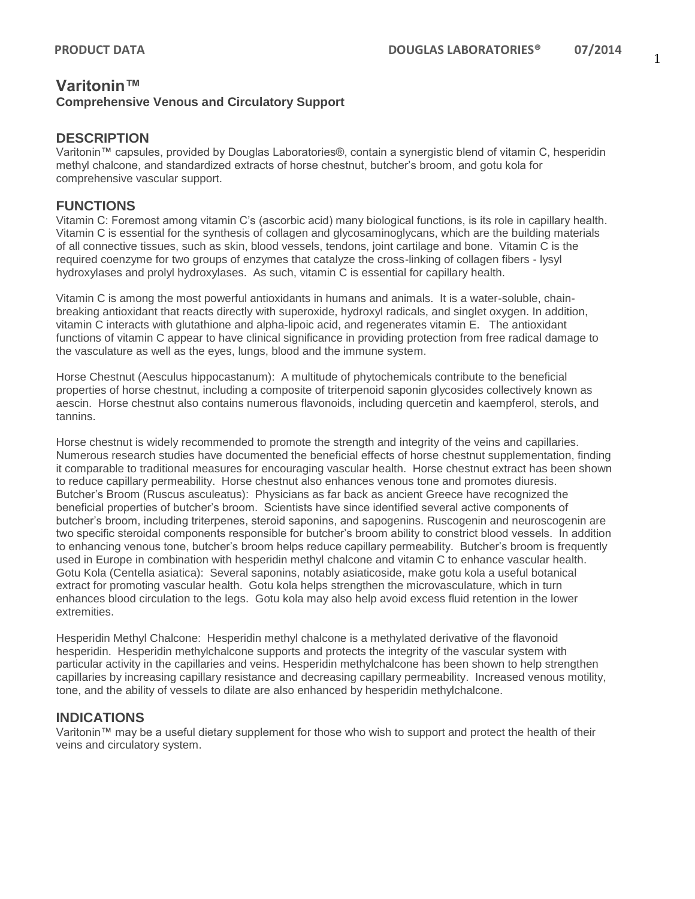# **Varitonin™ Comprehensive Venous and Circulatory Support**

#### **DESCRIPTION**

Varitonin™ capsules, provided by Douglas Laboratories®, contain a synergistic blend of vitamin C, hesperidin methyl chalcone, and standardized extracts of horse chestnut, butcher's broom, and gotu kola for comprehensive vascular support.

#### **FUNCTIONS**

Vitamin C: Foremost among vitamin C's (ascorbic acid) many biological functions, is its role in capillary health. Vitamin C is essential for the synthesis of collagen and glycosaminoglycans, which are the building materials of all connective tissues, such as skin, blood vessels, tendons, joint cartilage and bone. Vitamin C is the required coenzyme for two groups of enzymes that catalyze the cross-linking of collagen fibers - lysyl hydroxylases and prolyl hydroxylases. As such, vitamin C is essential for capillary health.

Vitamin C is among the most powerful antioxidants in humans and animals. It is a water-soluble, chainbreaking antioxidant that reacts directly with superoxide, hydroxyl radicals, and singlet oxygen. In addition, vitamin C interacts with glutathione and alpha-lipoic acid, and regenerates vitamin E. The antioxidant functions of vitamin C appear to have clinical significance in providing protection from free radical damage to the vasculature as well as the eyes, lungs, blood and the immune system.

Horse Chestnut (Aesculus hippocastanum): A multitude of phytochemicals contribute to the beneficial properties of horse chestnut, including a composite of triterpenoid saponin glycosides collectively known as aescin. Horse chestnut also contains numerous flavonoids, including quercetin and kaempferol, sterols, and tannins.

Horse chestnut is widely recommended to promote the strength and integrity of the veins and capillaries. Numerous research studies have documented the beneficial effects of horse chestnut supplementation, finding it comparable to traditional measures for encouraging vascular health. Horse chestnut extract has been shown to reduce capillary permeability. Horse chestnut also enhances venous tone and promotes diuresis. Butcher's Broom (Ruscus asculeatus): Physicians as far back as ancient Greece have recognized the beneficial properties of butcher's broom. Scientists have since identified several active components of butcher's broom, including triterpenes, steroid saponins, and sapogenins. Ruscogenin and neuroscogenin are two specific steroidal components responsible for butcher's broom ability to constrict blood vessels. In addition to enhancing venous tone, butcher's broom helps reduce capillary permeability. Butcher's broom is frequently used in Europe in combination with hesperidin methyl chalcone and vitamin C to enhance vascular health. Gotu Kola (Centella asiatica): Several saponins, notably asiaticoside, make gotu kola a useful botanical extract for promoting vascular health. Gotu kola helps strengthen the microvasculature, which in turn enhances blood circulation to the legs. Gotu kola may also help avoid excess fluid retention in the lower extremities.

Hesperidin Methyl Chalcone: Hesperidin methyl chalcone is a methylated derivative of the flavonoid hesperidin. Hesperidin methylchalcone supports and protects the integrity of the vascular system with particular activity in the capillaries and veins. Hesperidin methylchalcone has been shown to help strengthen capillaries by increasing capillary resistance and decreasing capillary permeability. Increased venous motility, tone, and the ability of vessels to dilate are also enhanced by hesperidin methylchalcone.

#### **INDICATIONS**

Varitonin™ may be a useful dietary supplement for those who wish to support and protect the health of their veins and circulatory system.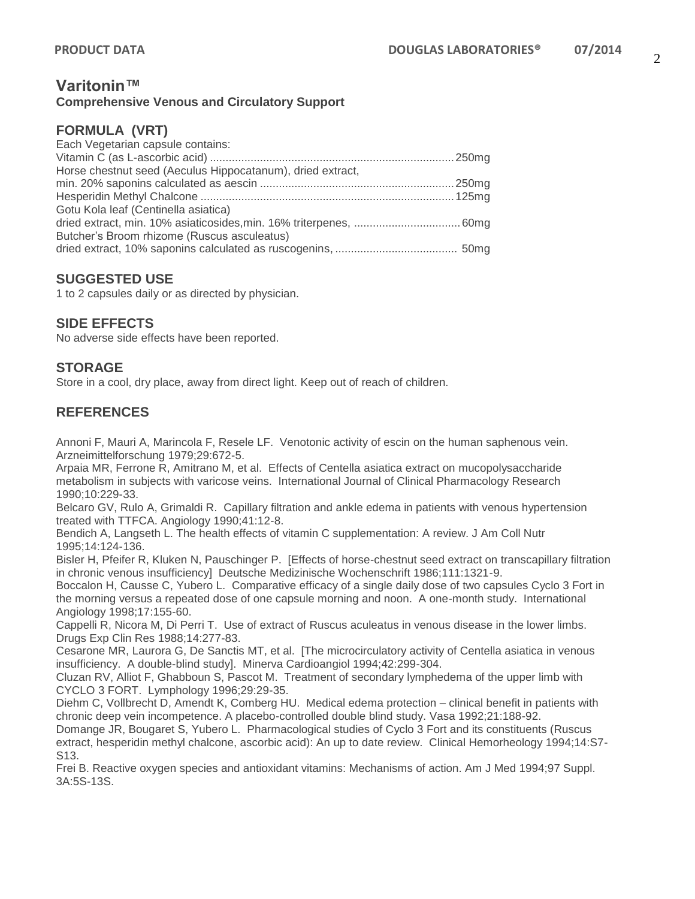### **Varitonin™ Comprehensive Venous and Circulatory Support**

### **FORMULA (VRT)**

| Each Vegetarian capsule contains:                          |  |
|------------------------------------------------------------|--|
|                                                            |  |
| Horse chestnut seed (Aeculus Hippocatanum), dried extract, |  |
|                                                            |  |
|                                                            |  |
| Gotu Kola leaf (Centinella asiatica)                       |  |
|                                                            |  |
| Butcher's Broom rhizome (Ruscus asculeatus)                |  |
|                                                            |  |

# **SUGGESTED USE**

1 to 2 capsules daily or as directed by physician.

# **SIDE EFFECTS**

No adverse side effects have been reported.

# **STORAGE**

Store in a cool, dry place, away from direct light. Keep out of reach of children.

# **REFERENCES**

Annoni F, Mauri A, Marincola F, Resele LF. Venotonic activity of escin on the human saphenous vein. Arzneimittelforschung 1979;29:672-5.

Arpaia MR, Ferrone R, Amitrano M, et al. Effects of Centella asiatica extract on mucopolysaccharide metabolism in subjects with varicose veins. International Journal of Clinical Pharmacology Research 1990;10:229-33.

Belcaro GV, Rulo A, Grimaldi R. Capillary filtration and ankle edema in patients with venous hypertension treated with TTFCA. Angiology 1990;41:12-8.

Bendich A, Langseth L. The health effects of vitamin C supplementation: A review. J Am Coll Nutr 1995;14:124-136.

Bisler H, Pfeifer R, Kluken N, Pauschinger P. [Effects of horse-chestnut seed extract on transcapillary filtration in chronic venous insufficiency] Deutsche Medizinische Wochenschrift 1986;111:1321-9.

Boccalon H, Causse C, Yubero L. Comparative efficacy of a single daily dose of two capsules Cyclo 3 Fort in the morning versus a repeated dose of one capsule morning and noon. A one-month study. International Angiology 1998;17:155-60.

Cappelli R, Nicora M, Di Perri T. Use of extract of Ruscus aculeatus in venous disease in the lower limbs. Drugs Exp Clin Res 1988;14:277-83.

Cesarone MR, Laurora G, De Sanctis MT, et al. [The microcirculatory activity of Centella asiatica in venous insufficiency. A double-blind study]. Minerva Cardioangiol 1994;42:299-304.

Cluzan RV, Alliot F, Ghabboun S, Pascot M. Treatment of secondary lymphedema of the upper limb with CYCLO 3 FORT. Lymphology 1996;29:29-35.

Diehm C, Vollbrecht D, Amendt K, Comberg HU. Medical edema protection – clinical benefit in patients with chronic deep vein incompetence. A placebo-controlled double blind study. Vasa 1992;21:188-92.

Domange JR, Bougaret S, Yubero L. Pharmacological studies of Cyclo 3 Fort and its constituents (Ruscus extract, hesperidin methyl chalcone, ascorbic acid): An up to date review. Clinical Hemorheology 1994;14:S7- S13.

Frei B. Reactive oxygen species and antioxidant vitamins: Mechanisms of action. Am J Med 1994;97 Suppl. 3A:5S-13S.